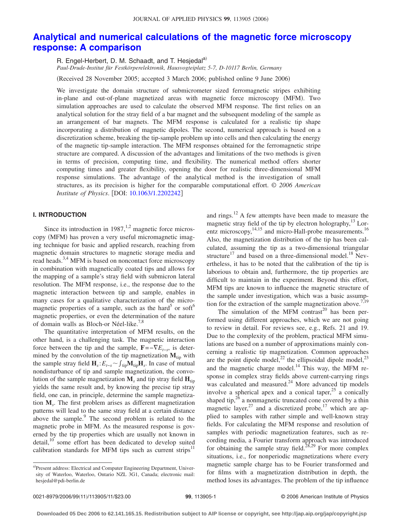# **[Analytical and numerical calculations of the magnetic force microscopy](http://dx.doi.org/10.1063/1.2202242) [response: A comparison](http://dx.doi.org/10.1063/1.2202242)**

R. Engel-Herbert, D. M. Schaadt, and T. Hesjedal<sup>a)</sup> *Paul-Drude-Institut für Festkörperelektronik, Hausvogteiplatz 5-7, D-10117 Berlin, Germany*

(Received 28 November 2005; accepted 3 March 2006; published online 9 June 2006)

We investigate the domain structure of submicrometer sized ferromagnetic stripes exhibiting in-plane and out-of-plane magnetized areas with magnetic force microscopy (MFM). Two simulation approaches are used to calculate the observed MFM response. The first relies on an analytical solution for the stray field of a bar magnet and the subsequent modeling of the sample as an arrangement of bar magnets. The MFM response is calculated for a realistic tip shape incorporating a distribution of magnetic dipoles. The second, numerical approach is based on a discretization scheme, breaking the tip-sample problem up into cells and then calculating the energy of the magnetic tip-sample interaction. The MFM responses obtained for the ferromagnetic stripe structure are compared. A discussion of the advantages and limitations of the two methods is given in terms of precision, computing time, and flexibility. The numerical method offers shorter computing times and greater flexibility, opening the door for realistic three-dimensional MFM response simulations. The advantage of the analytical method is the investigation of small structures, as its precision is higher for the comparable computational effort. © *2006 American Institute of Physics.* [DOI: [10.1063/1.2202242](http://dx.doi.org/10.1063/1.2202242)]

# **I. INTRODUCTION**

Since its introduction in  $1987$ ,<sup>1,2</sup> magnetic force microscopy (MFM) has proven a very useful micromagnetic imaging technique for basic and applied research, reaching from magnetic domain structures to magnetic storage media and read heads.<sup>3,4</sup> MFM is based on noncontact force microscopy in combination with magnetically coated tips and allows for the mapping of a sample's stray field with submicron lateral resolution. The MFM response, i.e., the response due to the magnetic interaction between tip and sample, enables in many cases for a qualitative characterization of the micromagnetic properties of a sample, such as the hard<sup>5</sup> or soft<sup>6</sup> magnetic properties, or even the determination of the nature of domain walls as Bloch-or Néel-like.<sup>7,8</sup>

The quantitative interpretation of MFM results, on the other hand, is a challenging task. The magnetic interaction force between the tip and the sample,  $\mathbf{F} = -\nabla E_{t-s}$ , is determined by the convolution of the tip magnetization  $M_{\text{tip}}$  with the sample stray field  $\mathbf{H}_s$ :  $E_{t-s} \sim \int_{\text{tip}} \mathbf{M}_{\text{tip}} \mathbf{H}_s$ . In case of mutual nondisturbance of tip and sample magnetization, the convolution of the sample magnetization  $M_s$  and tip stray field  $H_{\text{tip}}$ yields the same result and, by knowing the precise tip stray field, one can, in principle, determine the sample magnetization **M***s*. The first problem arises as different magnetization patterns will lead to the same stray field at a certain distance above the sample.<sup>9</sup> The second problem is related to the magnetic probe in MFM. As the measured response is governed by the tip properties which are usually not known in detail,<sup>10</sup> some effort has been dedicated to develop suited calibration standards for MFM tips such as current strips<sup>11</sup>

and rings.12 A few attempts have been made to measure the magnetic stray field of the tip by electron holography, $^{13}$  Lorentz microscopy,<sup>14,15</sup> and micro-Hall-probe measurements.<sup>16</sup> Also, the magnetization distribution of the tip has been calculated, assuming the tip as a two-dimensional triangular structure<sup>17</sup> and based on a three-dimensional model.<sup>18</sup> Nevertheless, it has to be noted that the calibration of the tip is laborious to obtain and, furthermore, the tip properties are difficult to maintain in the experiment. Beyond this effort, MFM tips are known to influence the magnetic structure of the sample under investigation, which was a basic assumption for the extraction of the sample magnetization above.<sup>7,19</sup>

The simulation of the MFM contrast<sup>20</sup> has been performed using different approaches, which we are not going to review in detail. For reviews see, e.g., Refs. 21 and 19. Due to the complexity of the problem, practical MFM simulations are based on a number of approximations mainly concerning a realistic tip magnetization. Common approaches are the point dipole model, $^{22}$  the ellipsoidal dipole model, $^{23}$ and the magnetic charge model.<sup>14</sup> This way, the MFM response in complex stray fields above current-carrying rings was calculated and measured.<sup>24</sup> More advanced tip models involve a spherical apex and a conical taper, $25$  a conically shaped tip, $^{26}$  a nonmagnetic truncated cone covered by a thin magnetic layer,<sup>27</sup> and a discretized probe,<sup>17</sup> which are applied to samples with rather simple and well-known stray fields. For calculating the MFM response and resolution of samples with periodic magnetization features, such as recording media, a Fourier transform approach was introduced for obtaining the sample stray field.<sup>28,29</sup> For more complex situations, i.e., for nonperiodic magnetizations where every magnetic sample charge has to be Fourier transformed and for films with a magnetization distribution in depth, the method loses its advantages. The problem of the tip influence

a)Present address: Electrical and Computer Engineering Department, University of Waterloo, Waterloo, Ontario NZL 3G1, Canada; electronic mail: hesjedal@pdi-berlin.de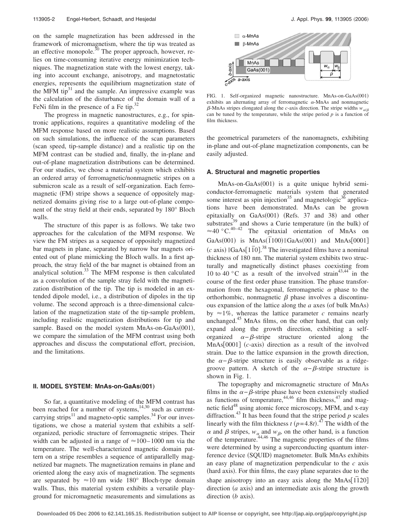on the sample magnetization has been addressed in the framework of micromagnetism, where the tip was treated as an effective monopole. $^{30}$  The proper approach, however, relies on time-consuming iterative energy minimization techniques. The magnetization state with the lowest energy, taking into account exchange, anisotropy, and magnetostatic energies, represents the equilibrium magnetization state of the MFM tip $31$  and the sample. An impressive example was the calculation of the disturbance of the domain wall of a FeNi film in the presence of a Fe tip. $32$ 

The progress in magnetic nanostructures, e.g., for spintronic applications, requires a quantitative modeling of the MFM response based on more realistic assumptions. Based on such simulations, the influence of the scan parameters (scan speed, tip-sample distance) and a realistic tip on the MFM contrast can be studied and, finally, the in-plane and out-of-plane magnetization distributions can be determined. For our studies, we chose a material system which exhibits an ordered array of ferromagnetic/nonmagnetic stripes on a submicron scale as a result of self-organization. Each ferromagnetic (FM) stripe shows a sequence of oppositely magnetized domains giving rise to a large out-of-plane component of the stray field at their ends, separated by 180° Bloch walls.

The structure of this paper is as follows. We take two approaches for the calculation of the MFM response. We view the FM stripes as a sequence of oppositely magnetized bar magnets in plane, separated by narrow bar magnets oriented out of plane mimicking the Bloch walls. In a first approach, the stray field of the bar magnet is obtained from an analytical solution. $33$  The MFM response is then calculated as a convolution of the sample stray field with the magnetization distribution of the tip. The tip is modeled in an extended dipole model, i.e., a distribution of dipoles in the tip volume. The second approach is a three-dimensional calculation of the magnetization state of the tip-sample problem, including realistic magnetization distributions for tip and sample. Based on the model system MnAs-on-GaAs(001), we compare the simulation of the MFM contrast using both approaches and discuss the computational effort, precision, and the limitations.

### **II. MODEL SYSTEM: MnAs-on-GaAs(001)**

So far, a quantitative modeling of the MFM contrast has been reached for a number of systems, $14,30$  such as currentcarrying strips $11$  and magneto-optic samples.<sup>34</sup> For our investigations, we chose a material system that exhibits a selforganized, periodic structure of ferromagnetic stripes. Their width can be adjusted in a range of  $\approx 100-1000$  nm via the temperature. The well-characterized magnetic domain pattern on a stripe resembles a sequence of antiparallelly magnetized bar magnets. The magnetization remains in plane and oriented along the easy axis of magnetization. The segments are separated by  $\approx 10$  nm wide 180° Bloch-type domain walls. Thus, this material system exhibits a versatile playground for micromagnetic measurements and simulations as



FIG. 1. Self-organized magnetic nanostructure. MnAs-on-GaAs(001) exhibits an alternating array of ferromagnetic  $\alpha$ -MnAs and nonmagnetic  $\beta$ -MnAs stripes elongated along the *c*-axis direction. The stripe widths  $w_{\alpha/\beta}$ can be tuned by the temperature, while the stripe period  $p$  is a function of film thickness.

the geometrical parameters of the nanomagnets, exhibiting in-plane and out-of-plane magnetization components, can be easily adjusted.

#### **A. Structural and magnetic properties**

MnAs-on-GaAs(001) is a quite unique hybrid semiconductor-ferromagnetic materials system that generated some interest as spin injection<sup>35</sup> and magnetologic<sup>36</sup> applications have been demonstrated. MnAs can be grown epitaxially on GaAs(001) (Refs. 37 and 38) and other substrates $39$  and shows a Curie temperature (in the bulk) of  $\approx$ 40 °C.<sup>40–42</sup> The epitaxial orientation of MnAs on GaAs(001) is  $MnAs(\overline{1}100) || GaAs(001)$  and  $MnAs[0001]$  $(c \text{ axis})$   $\text{16aAs} \left[1\overline{10}\right]$ .<sup>38</sup> The investigated films have a nominal thickness of 180 nm. The material system exhibits two structurally and magnetically distinct phases coexisting from 10 to 40  $\degree$ C as a result of the involved strain<sup>43,44</sup> in the course of the first order phase transition. The phase transformation from the hexagonal, ferromagnetic  $\alpha$  phase to the orthorhombic, nonmagnetic  $\beta$  phase involves a discontinuous expansion of the lattice along the *a* axes (of bulk MnAs) by  $\approx 1\%$ , whereas the lattice parameter *c* remains nearly unchanged.<sup>45</sup> MnAs films, on the other hand, that can only expand along the growth direction, exhibiting a selforganized  $\alpha - \beta$ -stripe structure oriented along the  $MnAs[0001]$  ( $c$ -axis) direction as a result of the involved strain. Due to the lattice expansion in the growth direction, the  $\alpha-\beta$ -stripe structure is easily observable as a ridgegroove pattern. A sketch of the  $\alpha-\beta$ -stripe structure is shown in Fig. 1.

The topography and micromagnetic structure of MnAs films in the  $\alpha-\beta$ -stripe phase have been extensively studied as functions of temperature,  $44,46$  film thickness,  $47$  and magnetic field<sup>48</sup> using atomic force microscopy, MFM, and x-ray diffraction.<sup>43</sup> It has been found that the stripe period  $p$  scales linearly with the film thickness  $t (p=4.8t)$ .<sup>47</sup> The width of the  $\alpha$  and  $\beta$  stripes,  $w_{\alpha}$  and  $w_{\beta}$ , on the other hand, is a function of the temperature.44,46 The magnetic properties of the films were determined by using a superconducting quantum interference device (SQUID) magnetometer. Bulk MnAs exhibits an easy plane of magnetization perpendicular to the *c* axis (hard axis). For thin films, the easy plane separates due to the shape anisotropy into an easy axis along the MnAs[1120] direction  $(a$  axis) and an intermediate axis along the growth direction (*b* axis).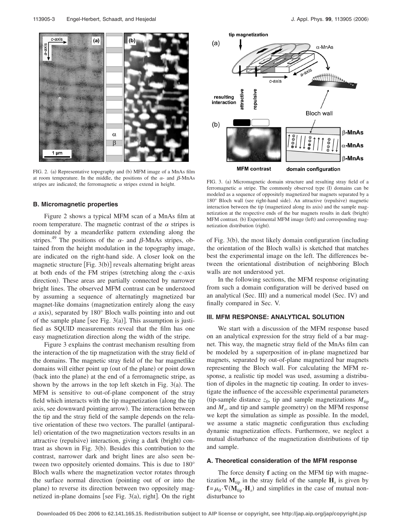

FIG. 2. (a) Representative topography and (b) MFM image of a MnAs film at room temperature. In the middle, the positions of the  $\alpha$ - and  $\beta$ -MnAs stripes are indicated; the ferromagnetic  $\alpha$  stripes extend in height.

#### **B. Micromagnetic properties**

Figure 2 shows a typical MFM scan of a MnAs film at room temperature. The magnetic contrast of the  $\alpha$  stripes is dominated by a meanderlike pattern extending along the stripes.<sup>49</sup> The positions of the  $\alpha$ - and  $\beta$ -MnAs stripes, obtained from the height modulation in the topography image, are indicated on the right-hand side. A closer look on the magnetic structure [Fig. 3(b)] reveals alternating bright areas at both ends of the FM stripes (stretching along the *c*-axis direction). These areas are partially connected by narrower bright lines. The observed MFM contrast can be understood by assuming a sequence of alternatingly magnetized bar magnet-like domains (magnetization entirely along the easy a axis), separated by 180° Bloch walls pointing into and out of the sample plane [see Fig.  $3(a)$ ]. This assumption is justified as SQUID measurements reveal that the film has one easy magnetization direction along the width of the stripe.

Figure 3 explains the contrast mechanism resulting from the interaction of the tip magnetization with the stray field of the domains. The magnetic stray field of the bar magnetlike domains will either point up (out of the plane) or point down (back into the plane) at the end of a ferromagnetic stripe, as shown by the arrows in the top left sketch in Fig.  $3(a)$ . The MFM is sensitive to out-of-plane component of the stray field which interacts with the tip magnetization (along the tip axis, see downward pointing arrow). The interaction between the tip and the stray field of the sample depends on the relative orientation of these two vectors. The parallel (antiparallel) orientation of the two magnetization vectors results in an attractive (repulsive) interaction, giving a dark (bright) contrast as shown in Fig.  $3(b)$ . Besides this contribution to the contrast, narrower dark and bright lines are also seen between two oppositely oriented domains. This is due to 180° Bloch walls where the magnetization vector rotates through the surface normal direction (pointing out of or into the plane) to reverse its direction between two oppositely magnetized in-plane domains [see Fig.  $3(a)$ , right]. On the right



FIG. 3. (a) Micromagnetic domain structure and resulting stray field of a ferromagnetic  $\alpha$  stripe. The commonly observed type (I) domains can be modeled as a sequence of oppositely magnetized bar magnets separated by a 180° Bloch wall (see right-hand side). An attractive (repulsive) magnetic interaction between the tip (magnetized along its axis) and the sample magnetization at the respective ends of the bar magnets results in dark (bright) MFM contrast. (b) Experimental MFM image (left) and corresponding magnetization distribution (right).

of Fig. 3(b), the most likely domain configuration (including the orientation of the Bloch walls) is sketched that matches best the experimental image on the left. The differences between the orientational distribution of neighboring Bloch walls are not understood yet.

In the following sections, the MFM response originating from such a domain configuration will be derived based on an analytical (Sec. III) and a numerical model (Sec. IV) and finally compared in Sec. V.

# **III. MFM RESPONSE: ANALYTICAL SOLUTION**

We start with a discussion of the MFM response based on an analytical expression for the stray field of a bar magnet. This way, the magnetic stray field of the MnAs film can be modeled by a superposition of in-plane magnetized bar magnets, separated by out-of-plane magnetized bar magnets representing the Bloch wall. For calculating the MFM response, a realistic tip model was used, assuming a distribution of dipoles in the magnetic tip coating. In order to investigate the influence of the accessible experimental parameters (tip-sample distance  $z_0$ , tip and sample magnetizations  $M_{\text{tin}}$ and  $M_s$ , and tip and sample geometry) on the MFM response we kept the simulation as simple as possible. In the model, we assume a static magnetic configuration thus excluding dynamic magnetization effects. Furthermore, we neglect a mutual disturbance of the magnetization distributions of tip and sample.

# **A. Theoretical consideration of the MFM response**

The force density **f** acting on the MFM tip with magnetization  $M_{\text{tip}}$  in the stray field of the sample  $H_s$  is given by  $\mathbf{f} = \mu_0 \cdot \nabla (\mathbf{M}_{\text{tip}} \cdot \mathbf{H}_s)$  and simplifies in the case of mutual nondisturbance to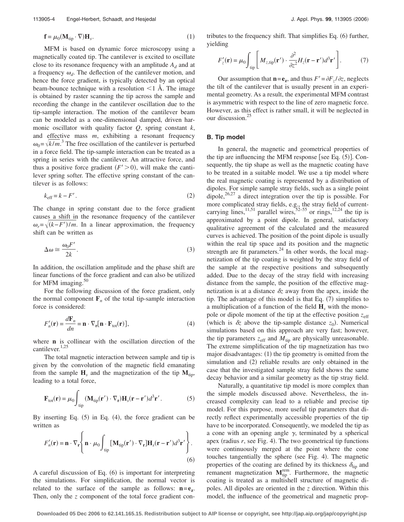$$
\mathbf{f} = \mu_0 (\mathbf{M}_{\text{tip}} \cdot \nabla) \mathbf{H}_s. \tag{1}
$$

MFM is based on dynamic force microscopy using a magnetically coated tip. The cantilever is excited to oscillate close to its resonance frequency with an amplitude  $A_d$  and at a frequency  $\omega_d$ . The deflection of the cantilever motion, and hence the force gradient, is typically detected by an optical beam-bounce technique with a resolution  $\leq 1$  Å. The image is obtained by raster scanning the tip across the sample and recording the change in the cantilever oscillation due to the tip-sample interaction. The motion of the cantilever beam can be modeled as a one-dimensional damped, driven harmonic oscillator with quality factor *Q*, spring constant *k*, and effective mass *m*, exhibiting a resonant frequency  $\omega_0 = \sqrt{k/m}$ <sup>3</sup>. The free oscillation of the cantilever is perturbed in a force field. The tip-sample interaction can be treated as a spring in series with the cantilever. An attractive force, and thus a positive force gradient  $(F' > 0)$ , will make the cantilever spring softer. The effective spring constant of the cantilever is as follows:

$$
k_{\text{eff}} = k - F' \,. \tag{2}
$$

The change in spring constant due to the force gradient causes a shift in the resonance frequency of the cantilever  $\omega_r = \sqrt{(k - F')/m}$ . In a linear approximation, the frequency shift can be written as

$$
\Delta \omega \cong \frac{\omega_0 F'}{2k}.\tag{3}
$$

In addition, the oscillation amplitude and the phase shift are linear functions of the force gradient and can also be utilized for MFM imaging. $50$ 

For the following discussion of the force gradient, only the normal component  $\mathbf{F}_n$  of the total tip-sample interaction force is considered:

$$
F'_{n}(\mathbf{r}) = \frac{d\mathbf{F}_{n}}{dn} = \mathbf{n} \cdot \nabla_{\mathbf{r}}[\mathbf{n} \cdot \mathbf{F}_{\text{tot}}(\mathbf{r})],
$$
(4)

where **n** is collinear with the oscillation direction of the cantilever.<sup>1,25</sup>

The total magnetic interaction between sample and tip is given by the convolution of the magnetic field emanating from the sample  $H_s$  and the magnetization of the tip  $M_{tip}$ , leading to a total force,

$$
\mathbf{F}_{\text{tot}}(\mathbf{r}) = \mu_0 \int_{\text{tip}} (\mathbf{M}_{\text{tip}}(\mathbf{r}') \cdot \nabla_{\mathbf{r}}) \mathbf{H}_s(\mathbf{r} - \mathbf{r}') d^3 \mathbf{r}'.
$$
 (5)

By inserting Eq.  $(5)$  in Eq.  $(4)$ , the force gradient can be written as

$$
F'_{n}(\mathbf{r}) = \mathbf{n} \cdot \nabla_{\mathbf{r}} \left\{ \mathbf{n} \cdot \mu_{0} \int_{\text{tip}} \left[ \mathbf{M}_{\text{tip}}(\mathbf{r}') \cdot \nabla_{\mathbf{r}} \right] \mathbf{H}_{s}(\mathbf{r} - \mathbf{r}') d^{3} \mathbf{r}' \right\}.
$$
\n(6)

A careful discussion of Eq. (6) is important for interpreting the simulations. For simplification, the normal vector is related to the surface of the sample as follows:  $n=e_z$ . Then, only the *z* component of the total force gradient con-

tributes to the frequency shift. That simplifies Eq. (6) further, yielding

$$
F'_{z}(\mathbf{r}) = \mu_0 \int_{\text{tip}} \left[ M_{z,\text{tip}}(\mathbf{r}') \cdot \frac{\partial^2}{\partial z^2} H_z(\mathbf{r} - \mathbf{r}') d^3 \mathbf{r}' \right]. \tag{7}
$$

Our assumption that  $\mathbf{n} = \mathbf{e}_z$ , and thus  $F' = \partial F_z / \partial z$ , neglects the tilt of the cantilever that is usually present in an experimental geometry. As a result, the experimental MFM contrast is asymmetric with respect to the line of zero magnetic force. However, as this effect is rather small, it will be neglected in our discussion.25

### **B. Tip model**

In general, the magnetic and geometrical properties of the tip are influencing the MFM response [see Eq.  $(5)$ ]. Consequently, the tip shape as well as the magnetic coating have to be treated in a suitable model. We use a tip model where the real magnetic coating is represented by a distribution of dipoles. For simple sample stray fields, such as a single point dipole, $26,27$  a direct integration over the tip is possible. For more complicated stray fields, e.g., the stray field of currentcarrying lines,<sup>11,51</sup> parallel wires,<sup>52–55</sup> or rings,<sup>12,24</sup> the tip is approximated by a point dipole. In general, satisfactory qualitative agreement of the calculated and the measured curves is achieved. The position of the point dipole is usually within the real tip space and its position and the magnetic strength are fit parameters. $^{24}$  In other words, the local magnetization of the tip coating is weighted by the stray field of the sample at the respective positions and subsequently added. Due to the decay of the stray field with increasing distance from the sample, the position of the effective magnetization is at a distance  $\delta z$  away from the apex, inside the tip. The advantage of this model is that Eq.  $(7)$  simplifies to a multiplication of a function of the field **H***<sup>s</sup>* with the monopole or dipole moment of the tip at the effective position  $z_{\text{eff}}$ (which is  $\delta z$  above the tip-sample distance  $z_0$ ). Numerical simulations based on this approach are very fast; however, the tip parameters  $z_{\text{eff}}$  and  $M_{\text{tip}}$  are physically unreasonable. The extreme simplification of the tip magnetization has two major disadvantages: (1) the tip geometry is omitted from the simulation and (2) reliable results are only obtained in the case that the investigated sample stray field shows the same decay behavior and a similar geometry as the tip stray field.

Naturally, a quantitative tip model is more complex than the simple models discussed above. Nevertheless, the increased complexity can lead to a reliable and precise tip model. For this purpose, more useful tip parameters that directly reflect experimentally accessible properties of the tip have to be incorporated. Consequently, we modeled the tip as a cone with an opening angle  $\gamma$ , terminated by a spherical apex (radius  $r$ , see Fig. 4). The two geometrical tip functions were continuously merged at the point where the cone touches tangentially the sphere (see Fig. 4). The magnetic properties of the coating are defined by its thickness  $\delta_{\text{tip}}$  and remanent magnetization  $M_{\text{tip}}^{\text{rem}}$ . Furthermore, the magnetic coating is treated as a multishell structure of magnetic dipoles. All dipoles are oriented in the *z* direction. Within this model, the influence of the geometrical and magnetic prop-

**Downloaded 05 Dec 2006 to 62.141.165.15. Redistribution subject to AIP license or copyright, see http://jap.aip.org/jap/copyright.jsp**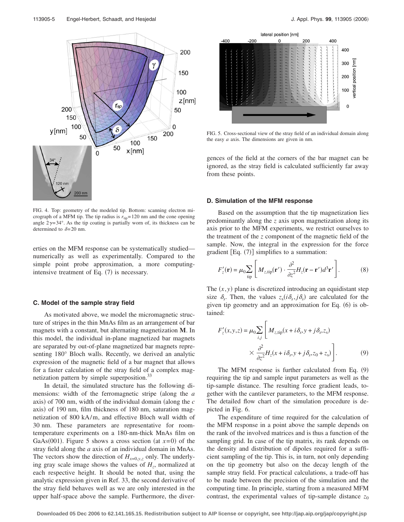

FIG. 4. Top: geometry of the modeled tip. Bottom: scanning electron micrograph of a MFM tip. The tip radius is  $r_{\text{tip}} = 120$  nm and the cone opening angle  $2\gamma = 34^\circ$ . As the tip coating is partially worn of, its thickness can be determined to  $\delta = 20$  nm.

erties on the MFM response can be systematically studied numerically as well as experimentally. Compared to the simple point probe approximation, a more computingintensive treatment of Eq.  $(7)$  is necessary.

### **C. Model of the sample stray field**

As motivated above, we model the micromagnetic structure of stripes in the thin MnAs film as an arrangement of bar magnets with a constant, but alternating magnetization **M**. In this model, the individual in-plane magnetized bar magnets are separated by out-of-plane magnetized bar magnets representing 180° Bloch walls. Recently, we derived an analytic expression of the magnetic field of a bar magnet that allows for a faster calculation of the stray field of a complex magnetization pattern by simple superposition.<sup>33</sup>

In detail, the simulated structure has the following dimensions: width of the ferromagnetic stripe (along the *a* axis) of 700 nm, width of the individual domain (along the *c* axis) of 190 nm, film thickness of 180 nm, saturation magnetization of 800 kA/m, and effective Bloch wall width of 30 nm. These parameters are representative for roomtemperature experiments on a 180-nm-thick MnAs film on GaAs(001). Figure 5 shows a cross section (at  $x=0$ ) of the stray field along the *a* axis of an individual domain in MnAs. The vectors show the direction of  $H_{x=0,y,z}$  only. The underlying gray scale image shows the values of  $H<sub>z</sub>$ , normalized at each respective height. It should be noted that, using the analytic expression given in Ref. 33, the second derivative of the stray field behaves well as we are only interested in the upper half-space above the sample. Furthermore, the diver-



FIG. 5. Cross-sectional view of the stray field of an individual domain along the easy *a* axis. The dimensions are given in nm.

gences of the field at the corners of the bar magnet can be ignored, as the stray field is calculated sufficiently far away from these points.

#### **D. Simulation of the MFM response**

Based on the assumption that the tip magnetization lies predominantly along the *z* axis upon magnetization along its axis prior to the MFM experiments, we restrict ourselves to the treatment of the *z* component of the magnetic field of the sample. Now, the integral in the expression for the force gradient  $[Eq. (7)]$  simplifies to a summation:

$$
F'_{z}(\mathbf{r}) = \mu_0 \sum_{\text{tip}} \left[ M_{z,\text{tip}}(\mathbf{r}') \cdot \frac{\partial^2}{\partial z^2} H_z(\mathbf{r} - \mathbf{r}') d^3 \mathbf{r}' \right].
$$
 (8)

The  $(x, y)$  plane is discretized introducing an equidistant step size  $\delta_s$ . Then, the values  $z_s(i\delta_s, j\delta_s)$  are calculated for the given tip geometry and an approximation for Eq. (6) is obtained:

$$
F'_{z}(x, y, z) = \mu_0 \sum_{i,j} \left[ M_{z, \text{tip}}(x + i \delta_s, y + j \delta_s, z_s) \times \frac{\partial^2}{\partial z^2} H_z(x + i \delta_s, y + j \delta_s, z_0 + z_s) \right].
$$
 (9)

The MFM response is further calculated from Eq.  $(9)$ requiring the tip and sample input parameters as well as the tip-sample distance. The resulting force gradient leads, together with the cantilever parameters, to the MFM response. The detailed flow chart of the simulation procedure is depicted in Fig. 6.

The expenditure of time required for the calculation of the MFM response in a point above the sample depends on the rank of the involved matrices and is thus a function of the sampling grid. In case of the tip matrix, its rank depends on the density and distribution of dipoles required for a sufficient sampling of the tip. This is, in turn, not only depending on the tip geometry but also on the decay length of the sample stray field. For practical calculations, a trade-off has to be made between the precision of the simulation and the computing time. In principle, starting from a measured MFM contrast, the experimental values of tip-sample distance  $z_0$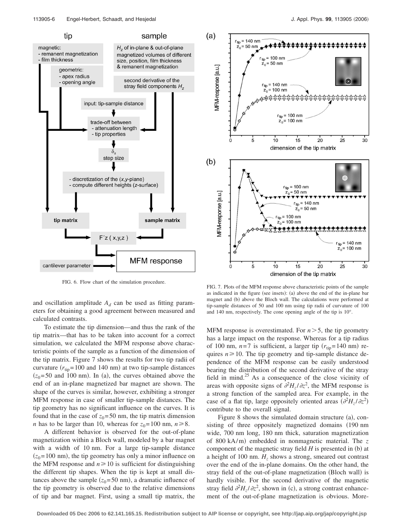

FIG. 6. Flow chart of the simulation procedure.

and oscillation amplitude  $A_d$  can be used as fitting parameters for obtaining a good agreement between measured and calculated contrasts.

To estimate the tip dimension—and thus the rank of the tip matrix—that has to be taken into account for a correct simulation, we calculated the MFM response above characteristic points of the sample as a function of the dimension of the tip matrix. Figure 7 shows the results for two tip radii of curvature  $(r_{tip} = 100 \text{ and } 140 \text{ nm})$  at two tip-sample distances  $(z_0 = 50$  and 100 nm). In (a), the curves obtained above the end of an in-plane magnetized bar magnet are shown. The shape of the curves is similar, however, exhibiting a stronger MFM response in case of smaller tip-sample distances. The tip geometry has no significant influence on the curves. It is found that in the case of  $z_0$ = 50 nm, the tip matrix dimension *n* has to be larger than 10, whereas for  $z_0 = 100$  nm,  $n \ge 8$ .

A different behavior is observed for the out-of-plane magnetization within a Bloch wall, modeled by a bar magnet with a width of 10 nm. For a large tip-sample distance  $(z_0 = 100 \text{ nm})$ , the tip geometry has only a minor influence on the MFM response and  $n \ge 10$  is sufficient for distinguishing the different tip shapes. When the tip is kept at small distances above the sample  $(z_0 = 50 \text{ nm})$ , a dramatic influence of the tip geometry is observed due to the relative dimensions of tip and bar magnet. First, using a small tip matrix, the



FIG. 7. Plots of the MFM response above characteristic points of the sample as indicated in the figure (see insets): (a) above the end of the in-plane bar magnet and (b) above the Bloch wall. The calculations were performed at tip-sample distances of 50 and 100 nm using tip radii of curvature of 100 and 140 nm, respectively. The cone opening angle of the tip is 10°.

MFM response is overestimated. For  $n > 5$ , the tip geometry has a large impact on the response. Whereas for a tip radius of 100 nm,  $n=7$  is sufficient, a larger tip  $(r_{\text{tip}}= 140 \text{ nm})$  requires  $n \geq 10$ . The tip geometry and tip-sample distance dependence of the MFM response can be easily understood bearing the distribution of the second derivative of the stray field in mind.<sup>25</sup> As a consequence of the close vicinity of areas with opposite signs of  $\partial^2 H_z / \partial z^2$ , the MFM response is a strong function of the sampled area. For example, in the case of a flat tip, large oppositely oriented areas  $(\partial^2 H_z / \partial z^2)$ contribute to the overall signal.

Figure 8 shows the simulated domain structure (a), consisting of three oppositely magnetized domains (190 nm) wide, 700 nm long, 180 nm thick, saturation magnetization of 800 kA/m) embedded in nonmagnetic material. The z component of the magnetic stray field  $H$  is presented in  $(b)$  at a height of 100 nm.  $H<sub>z</sub>$  shows a strong, smeared out contrast over the end of the in-plane domains. On the other hand, the stray field of the out-of-plane magnetization (Bloch wall) is hardly visible. For the second derivative of the magnetic stray field  $\partial^2 H_z/\partial z^2$ , shown in (c), a strong contrast enhancement of the out-of-plane magnetization is obvious. More-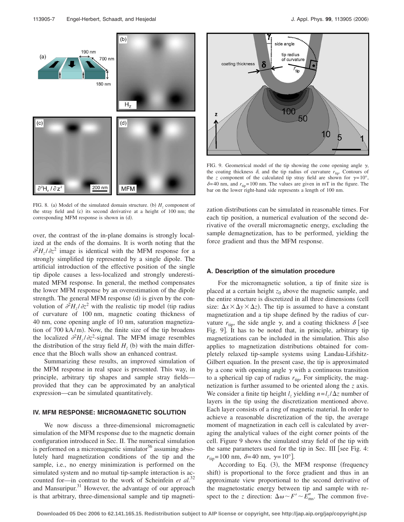

FIG. 8. (a) Model of the simulated domain structure. (b)  $H<sub>z</sub>$  component of the stray field and (c) its second derivative at a height of 100 nm; the corresponding MFM response is shown in (d).

over, the contrast of the in-plane domains is strongly localized at the ends of the domains. It is worth noting that the  $\partial^2 H_z/\partial z^2$  image is identical with the MFM response for a strongly simplified tip represented by a single dipole. The artificial introduction of the effective position of the single tip dipole causes a less-localized and strongly underestimated MFM response. In general, the method compensates the lower MFM response by an overestimation of the dipole strength. The general MFM response (d) is given by the convolution of  $\partial^2 H_z / \partial z^2$  with the realistic tip model (tip radius of curvature of 100 nm, magnetic coating thickness of 40 nm, cone opening angle of 10 nm, saturation magnetization of 700 kA/m). Now, the finite size of the tip broadens the localized  $\partial^2 H_z / \partial z^2$ -signal. The MFM image resembles the distribution of the stray field  $H<sub>z</sub>$  (b) with the main difference that the Bloch walls show an enhanced contrast.

Summarizing these results, an improved simulation of the MFM response in real space is presented. This way, in principle, arbitrary tip shapes and sample stray fields provided that they can be approximated by an analytical expression—can be simulated quantitatively.

# **IV. MFM RESPONSE: MICROMAGNETIC SOLUTION**

We now discuss a three-dimensional micromagnetic simulation of the MFM response due to the magnetic domain configuration introduced in Sec. II. The numerical simulation is performed on a micromagnetic simulator<sup>56</sup> assuming absolutely hard magnetization conditions of the tip and the sample, i.e., no energy minimization is performed on the simulated system and no mutual tip-sample interaction is accounted for—in contrast to the work of Scheinfein *et al.*<sup>32</sup> and Mansuripur. $31$  However, the advantage of our approach is that arbitrary, three-dimensional sample and tip magneti-



FIG. 9. Geometrical model of the tip showing the cone opening angle  $\gamma$ , the coating thickness  $\delta$ , and the tip radius of curvature  $r_{\text{tip}}$ . Contours of the *z* component of the calculated tip stray field are shown for  $\gamma = 10^{\circ}$ ,  $\delta = 40$  nm, and  $r_{\text{tip}} = 100$  nm. The values are given in mT in the figure. The bar on the lower right-hand side represents a length of 100 nm.

zation distributions can be simulated in reasonable times. For each tip position, a numerical evaluation of the second derivative of the overall micromagnetic energy, excluding the sample demagnetization, has to be performed, yielding the force gradient and thus the MFM response.

### **A. Description of the simulation procedure**

For the micromagnetic solution, a tip of finite size is placed at a certain height  $z_0$  above the magnetic sample, and the entire structure is discretized in all three dimensions (cell size:  $\Delta x \times \Delta y \times \Delta z$ ). The tip is assumed to have a constant magnetization and a tip shape defined by the radius of curvature  $r_{\text{tip}}$ , the side angle  $\gamma$ , and a coating thickness  $\delta$  [see Fig. 9. It has to be noted that, in principle, arbitrary tip magnetizations can be included in the simulation. This also applies to magnetization distributions obtained for completely relaxed tip-sample systems using Landau-Lifshitz-Gilbert equation. In the present case, the tip is approximated by a cone with opening angle  $\gamma$  with a continuous transition to a spherical tip cap of radius  $r_{\text{tip}}$ . For simplicity, the magnetization is further assumed to be oriented along the *z* axis. We consider a finite tip height  $l_z$  yielding  $n = l_z/\Delta z$  number of layers in the tip using the discretization mentioned above. Each layer consists of a ring of magnetic material. In order to achieve a reasonable discretization of the tip, the average moment of magnetization in each cell is calculated by averaging the analytical values of the eight corner points of the cell. Figure 9 shows the simulated stray field of the tip with the same parameters used for the tip in Sec. III [see Fig. 4:  $r_{\text{tip}} = 100 \text{ nm}, \ \delta = 40 \text{ nm}, \ \gamma = 10^{\circ}.$ 

According to Eq.  $(3)$ , the MFM response (frequency shift) is proportional to the force gradient and thus in an approximate view proportional to the second derivative of the magnetostatic energy between tip and sample with respect to the *z* direction:  $\Delta \omega \sim F' \sim E''_{\text{ms}}$ . The common five-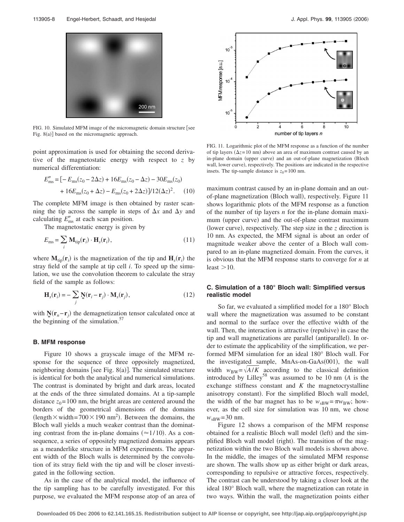

FIG. 10. Simulated MFM image of the micromagnetic domain structure [see Fig. 8(a)] based on the micromagnetic approach.

point approximation is used for obtaining the second derivative of the magnetostatic energy with respect to *z* by numerical differentiation:

$$
E''_{\text{ms}} = [-E_{\text{ms}}(z_0 - 2\Delta z) + 16E_{\text{ms}}(z_0 - \Delta z) - 30E_{\text{ms}}(z_0) + 16E_{\text{ms}}(z_0 + \Delta z) - E_{\text{ms}}(z_0 + 2\Delta z)]/12(\Delta z)^2.
$$
 (10)

The complete MFM image is then obtained by raster scanning the tip across the sample in steps of  $\Delta x$  and  $\Delta y$  and calculating  $E_{\text{ms}}''$  at each scan position.

The magnetostatic energy is given by

$$
E_{\rm ms} = \sum_{i} \mathbf{M}_{\rm tip}(\mathbf{r}_i) \cdot \mathbf{H}_s(\mathbf{r}_i), \tag{11}
$$

where  $M_{\text{tip}}(\mathbf{r}_i)$  is the magnetization of the tip and  $H_s(\mathbf{r}_i)$  the stray field of the sample at tip cell *i*. To speed up the simulation, we use the convolution theorem to calculate the stray field of the sample as follows:

$$
\mathbf{H}_s(\mathbf{r}_i) = -\sum_j \mathbf{N}(\mathbf{r}_i - \mathbf{r}_j) \cdot \mathbf{M}_s(\mathbf{r}_j),\tag{12}
$$

with  $\mathbf{N}(\mathbf{r}_n - \mathbf{r}_j)$  the demagnetization tensor calculated once at the beginning of the simulation. $57$ 

#### **B. MFM response**

Figure 10 shows a grayscale image of the MFM response for the sequence of three oppositely magnetized, neighboring domains [see Fig. 8(a)]. The simulated structure is identical for both the analytical and numerical simulations. The contrast is dominated by bright and dark areas, located at the ends of the three simulated domains. At a tip-sample distance  $z_0$ = 100 nm, the bright areas are centered around the borders of the geometrical dimensions of the domains (length  $\times$  width=700  $\times$  190 nm<sup>2</sup>). Between the domains, the Bloch wall yields a much weaker contrast than the dominating contrast from the in-plane domains  $(\approx 1/10)$ . As a consequence, a series of oppositely magnetized domains appears as a meanderlike structure in MFM experiments. The apparent width of the Bloch walls is determined by the convolution of its stray field with the tip and will be closer investigated in the following section.

As in the case of the analytical model, the influence of the tip sampling has to be carefully investigated. For this purpose, we evaluated the MFM response atop of an area of



FIG. 11. Logarithmic plot of the MFM response as a function of the number of tip layers  $(\Delta z = 10 \text{ nm})$  above an area of maximum contrast caused by an in-plane domain (upper curve) and an out-of-plane magnetization (Bloch wall, lower curve), respectively. The positions are indicated in the respective insets. The tip-sample distance is  $z_0 = 100$  nm.

maximum contrast caused by an in-plane domain and an outof-plane magnetization (Bloch wall), respectively. Figure 11 shows logarithmic plots of the MFM response as a function of the number of tip layers *n* for the in-plane domain maximum (upper curve) and the out-of-plane contrast maximum (lower curve), respectively. The step size in the  $z$  direction is 10 nm. As expected, the MFM signal is about an order of magnitude weaker above the center of a Bloch wall compared to an in-plane magnetized domain. From the curves, it is obvious that the MFM response starts to converge for *n* at least  $>10$ .

# **C. Simulation of a 180° Bloch wall: Simplified versus realistic model**

So far, we evaluated a simplified model for a 180° Bloch wall where the magnetization was assumed to be constant and normal to the surface over the effective width of the wall. Then, the interaction is attractive (repulsive) in case the tip and wall magnetizations are parallel (antiparallel). In order to estimate the applicability of the simplification, we performed MFM simulation for an ideal 180° Bloch wall. For the investigated sample, MnAs-on-GaAs(001), the wall width  $w_{BW} = \sqrt{A/K}$  according to the classical definition introduced by Lilley58 was assumed to be 10 nm *A* is the exchange stiffness constant and *K* the magnetocrystalline anisotropy constant). For the simplified Bloch wall model, the width of the bar magnet has to be  $w_{sBW} = \pi w_{BW}$ ; however, as the cell size for simulation was 10 nm, we chose  $w_{\text{SRW}} = 30$  nm.

Figure 12 shows a comparison of the MFM response obtained for a realistic Bloch wall model (left) and the simplified Bloch wall model (right). The transition of the magnetization within the two Bloch wall models is shown above. In the middle, the images of the simulated MFM response are shown. The walls show up as either bright or dark areas, corresponding to repulsive or attractive forces, respectively. The contrast can be understood by taking a closer look at the ideal 180° Bloch wall, where the magnetization can rotate in two ways. Within the wall, the magnetization points either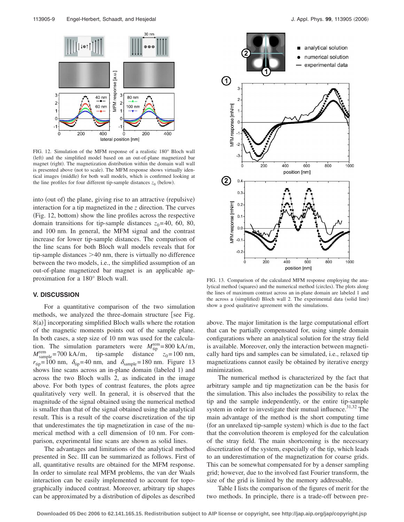

FIG. 12. Simulation of the MFM response of a realistic 180° Bloch wall (left) and the simplified model based on an out-of-plane magnetized bar magnet (right). The magnetization distribution within the domain wall wall is presented above (not to scale). The MFM response shows virtually identical images (middle) for both wall models, which is confirmed looking at the line profiles for four different tip-sample distances  $z_0$  (below).

into (out of) the plane, giving rise to an attractive (repulsive) interaction for a tip magnetized in the *z* direction. The curves (Fig. 12, bottom) show the line profiles across the respective domain transitions for tip-sample distances  $z_0$ =40, 60, 80, and 100 nm. In general, the MFM signal and the contrast increase for lower tip-sample distances. The comparison of the line scans for both Bloch wall models reveals that for tip-sample distances  $>40$  nm, there is virtually no difference between the two models, i.e., the simplified assumption of an out-of-plane magnetized bar magnet is an applicable approximation for a 180° Bloch wall.

### **V. DISCUSSION**

For a quantitative comparison of the two simulation methods, we analyzed the three-domain structure [see Fig. 8(a)] incorporating simplified Bloch walls where the rotation of the magnetic moments points out of the sample plane. In both cases, a step size of 10 nm was used for the calculation. The simulation parameters were  $M_{\text{tip}}^{\text{rem}} = 800 \text{ kA/m}$ ,  $M_{\text{sample}}^{\text{rem}} = 700 \text{ kA/m}, \text{ tip-sample distance } z_0 = 100 \text{ nm},$  $r_{\text{tip}} = 100 \text{ nm}, \ \delta_{\text{tip}} = 40 \text{ nm}, \text{ and } \delta_{\text{sample}} = 180 \text{ nm}. \text{ Figure 13}$ shows line scans across an in-plane domain (labeled 1) and across the two Bloch walls 2, as indicated in the image above. For both types of contrast features, the plots agree qualitatively very well. In general, it is observed that the magnitude of the signal obtained using the numerical method is smaller than that of the signal obtained using the analytical result. This is a result of the coarse discretization of the tip that underestimates the tip magnetization in case of the numerical method with a cell dimension of 10 nm. For comparison, experimental line scans are shown as solid lines.

The advantages and limitations of the analytical method presented in Sec. III can be summarized as follows. First of all, quantitative results are obtained for the MFM response. In order to simulate real MFM problems, the van der Waals interaction can be easily implemented to account for topographically induced contrast. Moreover, arbitrary tip shapes can be approximated by a distribution of dipoles as described



FIG. 13. Comparison of the calculated MFM response employing the analytical method (squares) and the numerical method (circles). The plots along the lines of maximum contrast across an in-plane domain are labeled 1 and the across a (simplified) Bloch wall 2. The experimental data (solid line) show a good qualitative agreement with the simulations.

above. The major limitation is the large computational effort that can be partially compensated for, using simple domain configurations where an analytical solution for the stray field is available. Moreover, only the interaction between magnetically hard tips and samples can be simulated, i.e., relaxed tip magnetizations cannot easily be obtained by iterative energy minimization.

The numerical method is characterized by the fact that arbitrary sample and tip magnetization can be the basis for the simulation. This also includes the possibility to relax the tip and the sample independently, or the entire tip-sample system in order to investigate their mutual influence. $31,32$  The main advantage of the method is the short computing time (for an unrelaxed tip-sample system) which is due to the fact that the convolution theorem is employed for the calculation of the stray field. The main shortcoming is the necessary discretization of the system, especially of the tip, which leads to an underestimation of the magnetization for coarse grids. This can be somewhat compensated for by a denser sampling grid; however, due to the involved fast Fourier transform, the size of the grid is limited by the memory addressable.

Table I lists the comparison of the figures of merit for the two methods. In principle, there is a trade-off between pre-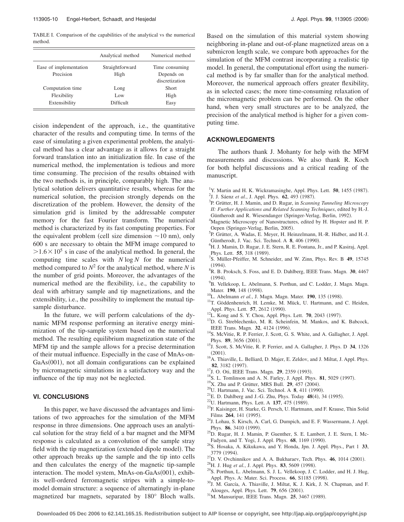TABLE I. Comparison of the capabilities of the analytical vs the numerical method.

|                        | Analytical method | Numerical method |
|------------------------|-------------------|------------------|
| Ease of implementation | Straightforward   | Time consuming   |
| Precision              | High              | Depends on       |
|                        |                   | discretization   |
| Computation time       | Long              | <b>Short</b>     |
| Flexibility            | Low               | High             |
| Extensibility          | Difficult         | Easy             |

cision independent of the approach, i.e., the quantitative character of the results and computing time. In terms of the ease of simulating a given experimental problem, the analytical method has a clear advantage as it allows for a straight forward translation into an initialization file. In case of the numerical method, the implementation is tedious and more time consuming. The precision of the results obtained with the two methods is, in principle, comparably high. The analytical solution delivers quantitative results, whereas for the numerical solution, the precision strongly depends on the discretization of the problem. However, the density of the simulation grid is limited by the addressable computer memory for the fast Fourier transform. The numerical method is characterized by its fast computing properties. For the equivalent problem (cell size dimension  $\sim$  10 nm), only 600 s are necessary to obtain the MFM image compared to  $>1.6 \times 10^5$  s in case of the analytical method. In general, the computing time scales with *N* log *N* for the numerical method compared to  $N^2$  for the analytical method, where *N* is the number of grid points. Moreover, the advantages of the numerical method are the flexibility, i.e., the capability to deal with arbitrary sample and tip magnetizations, and the extensibility, i.e., the possibility to implement the mutual tipsample disturbance.

In the future, we will perform calculations of the dynamic MFM response performing an iterative energy minimization of the tip-sample system based on the numerical method. The resulting equilibrium magnetization state of the MFM tip and the sample allows for a precise determination of their mutual influence. Especially in the case of MnAs-on-GaAs(001), not all domain configurations can be explained by micromagnetic simulations in a satisfactory way and the influence of the tip may not be neglected.

# **VI. CONCLUSIONS**

In this paper, we have discussed the advantages and limitations of two approaches for the simulation of the MFM response in three dimensions. One approach uses an analytical solution for the stray field of a bar magnet and the MFM response is calculated as a convolution of the sample stray field with the tip magnetization (extended dipole model). The other approach breaks up the sample and the tip into cells and then calculates the energy of the magnetic tip-sample interaction. The model system, MnAs-on-GaAs(001), exhibits well-ordered ferromagnetic stripes with a simple-tomodel domain structure: a sequence of alternatingly in-plane magnetized bar magnets, separated by 180° Bloch walls. Based on the simulation of this material system showing neighboring in-plane and out-of-plane magnetized areas on a submicron length scale, we compare both approaches for the simulation of the MFM contrast incorporating a realistic tip model. In general, the computational effort using the numerical method is by far smaller than for the analytical method. Moreover, the numerical approach offers greater flexibility, as in selected cases; the more time-consuming relaxation of the micromagnetic problem can be performed. On the other hand, when very small structures are to be analyzed, the precision of the analytical method is higher for a given computing time.

# **ACKNOWLEDGMENTS**

The authors thank J. Mohanty for help with the MFM measurements and discussions. We also thank R. Koch for both helpful discussions and a critical reading of the manuscript.

- <sup>1</sup>Y. Martin and H. K. Wickramasinghe, Appl. Phys. Lett. **50**, 1455 (1987). <sup>2</sup>J. J. Sáenz *et al.*, J. Appl. Phys. **62**, 493 (1987).
- <sup>3</sup>P. Grütter, H. J. Mamin, and D. Rugar, in *Scanning Tunneling Microscopy II: Further Applications and Related Scanning Techniques*, edited by H.-J.
- Güntherodt and R. Wiesendanger (Springer-Verlag, Berlin, 1992).<br><sup>4</sup>Megnetic Microscopy of Napostrustures, edited by H. Hopster at <sup>4</sup>Magnetic Microscopy of Nanostructures, edited by H. Hopster and H. P.
- Oepen (Springer-Verlag, Berlin, 2005).<br><sup>5</sup> B Grütter, A Wedes E Mayer, H Hot <sup>5</sup>P. Grütter, A. Wadas, E. Meyer, H. Heinzelmann, H.-R. Hidber, and H.-J.
- Güntherodt, J. Vac. Sci. Technol. A **8**, 406 (1990). <sup>6</sup>H. J. Mamin, D. Rugar, J. E. Stern, R. E. Fontana, Jr., and P. Kasiraj, Appl. Phys. Lett. **55**, 318 (1989).
- S. Müller-Pfeiffer, M. Schneider, and W. Zinn, Phys. Rev. B **49**, 15745  $^{(1994)}_{8\text{B}}$
- R. B. Proksch, S. Foss, and E. D. Dahlberg, IEEE Trans. Magn. **30**, 4467  $(1994)$ .<br><sup>9</sup><sub>D Vo</sub><sub>11</sub>
- <sup>9</sup>B. Vellekoop, L. Abelmann, S. Porthun, and C. Lodder, J. Magn. Magn. Mater. **190**, 148 (1998).
- <sup>10</sup>L. Abelmann et al., J. Magn. Magn. Mater. **190**, 135 (1998).
- <sup>11</sup>T. Göddenhenrich, H. Lemke, M. Mück, U. Hartmann, and C. Heiden, Appl. Phys. Lett. **57**, 2612 (1990).
- <sup>12</sup>L. Kong and S. Y. Chou, Appl. Phys. Lett. **70**, 2043 (1997).
- <sup>13</sup>D. G. Streblechenko, M. R. Scheinfein, M. Mankos, and K. Babcock, IEEE Trans. Magn. 32, 4124 (1996).
- <sup>14</sup>S. McVitie, R. P. Ferrier, J. Scott, G. S. White, and A. Gallagher, J. Appl. Phys. **89**, 3656 (2001).
- . 15J. Scott, S. McVitie, R. P. Ferrier, and A. Gallagher, J. Phys. D **<sup>34</sup>**, 1326  $(2001).$
- <sup>16</sup>A. Thiaville, L. Belliard, D. Majer, E. Zeldov, and J. Miltat, J. Appl. Phys. 82, 3182 (1997).
- <sup>17</sup>J. O. Oti, IEEE Trans. Magn. **29**, 2359 (1993).
- <sup>18</sup>S. L. Tomlinson and A. N. Farley, J. Appl. Phys. **81**, 5029 (1997).
- <sup>19</sup>X. Zhu and P. Grütter, MRS Bull. **29**, 457 (2004).
- <sup>20</sup>U. Hartmann, J. Vac. Sci. Technol. A **8**, 411 (1990).
- <sup>20</sup>U. Hartmann, J. Vac. Sci. Technol. A **8**, 411 (1990).<br><sup>21</sup>E. D. Dahlberg and J.-G. Zhu, Phys. Today **48**(4), 34 (1995).<br><sup>22</sup>U. Hartmann, Phys. Lett. A **137**, 475 (1989).
- 
- <sup>22</sup>U. Hartmann, Phys. Lett. A 137, 475 (1989).<br><sup>23</sup>F. Kaisinger, H. Starke, G. Persch, U. Hartmann, and F. Krause, Thin Solid Films 264, 141 (1995).
- <sup>24</sup>J. Lohau, S. Kirsch, A. Carl, G. Dumpich, and E. F. Wassermann, J. Appl. Phys. 86, 3410 (1999).
- <sup>25</sup>D. Rugar, H. J. Mamin, P. Guenther, S. E. Lambert, J. E. Stern, I. Mc-Fadyen, and T. Yogi, J. Appl. Phys. **68**, 1169 (1990).
- . 26S. Hosaka, A. Kikukawa, and Y. Honda, Jpn. J. Appl. Phys., Part 1 **<sup>33</sup>**, 3779 (1994).
- 3779 (1994).<br><sup>27</sup>D. V. Ovchinnikov and A. A. Bukharaev, Tech. Phys. **46**, 1014 (2001) <sup>21</sup>D. V. Ovchinnikov and A. A. Bukharaev, Tech. Phys. **46**, 1014 (2001).<br><sup>28</sup>H. J. Hug *et al.*, J. Appl. Phys. **83**, 5609 (1998).
- 
- <sup>28</sup>H. J. Hug *et al.*, J. Appl. Phys. **83**, 5609 (1998).<br><sup>29</sup>S. Porthun, L. Abelmann, S. J. L. Vellekoop, J. C. Lodder, and H. J. Hug, Appl. Phys. A: Mater. Sci. Process. 66, S1185 (1998).
- <sup>30</sup>J. M. García, A. Thiaville, J. Miltat, K. J. Kirk, J. N. Chapman, and F. Alouges, Appl. Phys. Lett. **79**, 656 (2001). Alouges, Appl. Phys. Lett. **79**, 656 (2001).<br><sup>31</sup>M. Mansuripur, IEEE Trans. Magn. **25**, 3467 (1989).
-